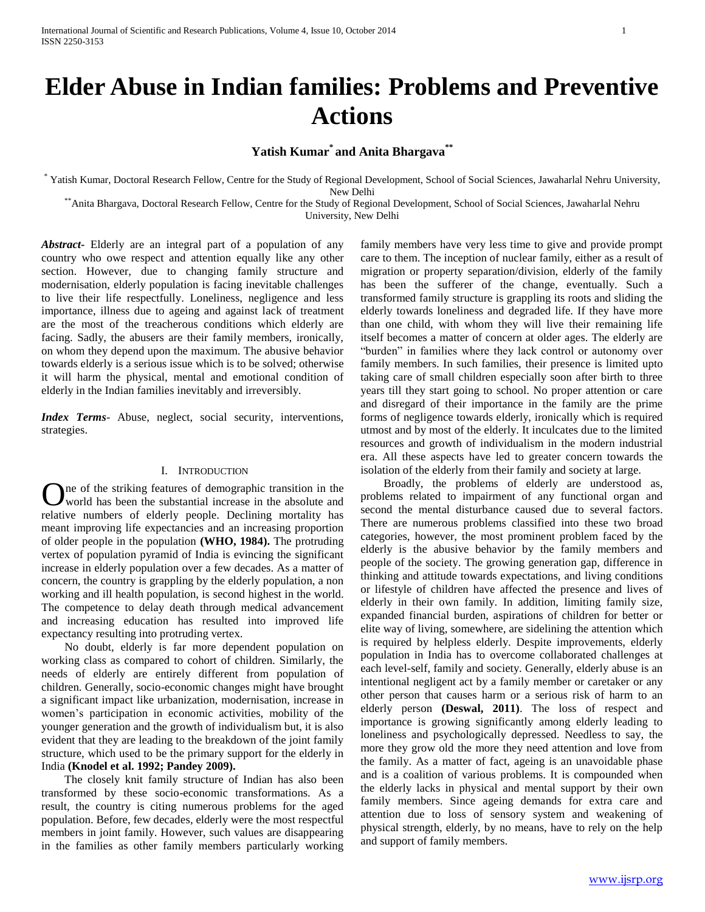# **Elder Abuse in Indian families: Problems and Preventive Actions**

# **Yatish Kumar\* and Anita Bhargava\*\***

\* Yatish Kumar, Doctoral Research Fellow, Centre for the Study of Regional Development, School of Social Sciences, Jawaharlal Nehru University, New Delhi

\*\*Anita Bhargava, Doctoral Research Fellow, Centre for the Study of Regional Development, School of Social Sciences, Jawaharlal Nehru University, New Delhi

*Abstract***-** Elderly are an integral part of a population of any country who owe respect and attention equally like any other section. However, due to changing family structure and modernisation, elderly population is facing inevitable challenges to live their life respectfully. Loneliness, negligence and less importance, illness due to ageing and against lack of treatment are the most of the treacherous conditions which elderly are facing. Sadly, the abusers are their family members, ironically, on whom they depend upon the maximum. The abusive behavior towards elderly is a serious issue which is to be solved; otherwise it will harm the physical, mental and emotional condition of elderly in the Indian families inevitably and irreversibly.

*Index Terms*- Abuse, neglect, social security, interventions, strategies.

## I. INTRODUCTION

ne of the striking features of demographic transition in the One of the striking features of demographic transition in the absolute and world has been the substantial increase in the absolute and relative numbers of elderly people. Declining mortality has meant improving life expectancies and an increasing proportion of older people in the population **(WHO, 1984).** The protruding vertex of population pyramid of India is evincing the significant increase in elderly population over a few decades. As a matter of concern, the country is grappling by the elderly population, a non working and ill health population, is second highest in the world. The competence to delay death through medical advancement and increasing education has resulted into improved life expectancy resulting into protruding vertex.

 No doubt, elderly is far more dependent population on working class as compared to cohort of children. Similarly, the needs of elderly are entirely different from population of children. Generally, socio-economic changes might have brought a significant impact like urbanization, modernisation, increase in women's participation in economic activities, mobility of the younger generation and the growth of individualism but, it is also evident that they are leading to the breakdown of the joint family structure, which used to be the primary support for the elderly in India **(Knodel et al. 1992; Pandey 2009).**

 The closely knit family structure of Indian has also been transformed by these socio-economic transformations. As a result, the country is citing numerous problems for the aged population. Before, few decades, elderly were the most respectful members in joint family. However, such values are disappearing in the families as other family members particularly working family members have very less time to give and provide prompt care to them. The inception of nuclear family, either as a result of migration or property separation/division, elderly of the family has been the sufferer of the change, eventually. Such a transformed family structure is grappling its roots and sliding the elderly towards loneliness and degraded life. If they have more than one child, with whom they will live their remaining life itself becomes a matter of concern at older ages. The elderly are "burden" in families where they lack control or autonomy over family members. In such families, their presence is limited upto taking care of small children especially soon after birth to three years till they start going to school. No proper attention or care and disregard of their importance in the family are the prime forms of negligence towards elderly, ironically which is required utmost and by most of the elderly. It inculcates due to the limited resources and growth of individualism in the modern industrial era. All these aspects have led to greater concern towards the isolation of the elderly from their family and society at large.

 Broadly, the problems of elderly are understood as, problems related to impairment of any functional organ and second the mental disturbance caused due to several factors. There are numerous problems classified into these two broad categories, however, the most prominent problem faced by the elderly is the abusive behavior by the family members and people of the society. The growing generation gap, difference in thinking and attitude towards expectations, and living conditions or lifestyle of children have affected the presence and lives of elderly in their own family. In addition, limiting family size, expanded financial burden, aspirations of children for better or elite way of living, somewhere, are sidelining the attention which is required by helpless elderly. Despite improvements, elderly population in India has to overcome collaborated challenges at each level-self, family and society. Generally, elderly abuse is an intentional negligent act by a family member or caretaker or any other person that causes harm or a serious risk of harm to an elderly person **(Deswal, 2011)**. The loss of respect and importance is growing significantly among elderly leading to loneliness and psychologically depressed. Needless to say, the more they grow old the more they need attention and love from the family. As a matter of fact, ageing is an unavoidable phase and is a coalition of various problems. It is compounded when the elderly lacks in physical and mental support by their own family members. Since ageing demands for extra care and attention due to loss of sensory system and weakening of physical strength, elderly, by no means, have to rely on the help and support of family members.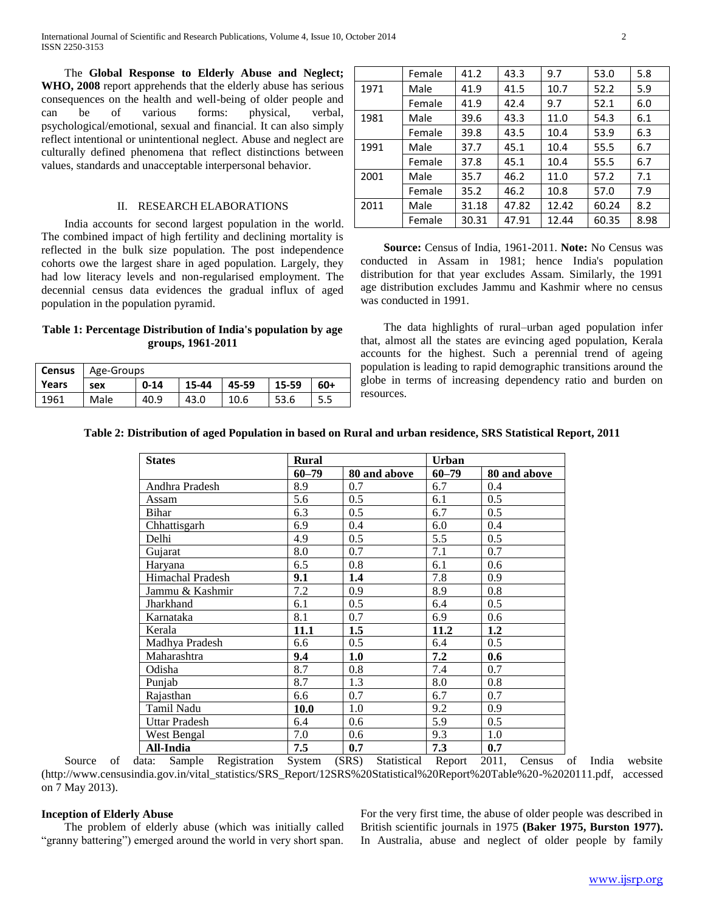The **Global Response to Elderly Abuse and Neglect; WHO, 2008** report apprehends that the elderly abuse has serious consequences on the health and well-being of older people and can be of various forms: physical, verbal, psychological/emotional, sexual and financial. It can also simply reflect intentional or unintentional neglect. Abuse and neglect are culturally defined phenomena that reflect distinctions between values, standards and unacceptable interpersonal behavior.

### II. RESEARCH ELABORATIONS

 India accounts for second largest population in the world. The combined impact of high fertility and declining mortality is reflected in the bulk size population. The post independence cohorts owe the largest share in aged population. Largely, they had low literacy levels and non-regularised employment. The decennial census data evidences the gradual influx of aged population in the population pyramid.

# **Table 1: Percentage Distribution of India's population by age groups, 1961-2011**

| <b>Census</b> | Age-Groups |          |       |       |       |       |
|---------------|------------|----------|-------|-------|-------|-------|
| Years         | sex        | $0 - 14$ | 15-44 | 45-59 | 15-59 | $60+$ |
| 1961          | Male       | 40.9     | 43.0  | 10.6  | 53.6  |       |

|      | Female | 41.2  | 43.3  | 9.7   | 53.0  | 5.8  |
|------|--------|-------|-------|-------|-------|------|
| 1971 | Male   | 41.9  | 41.5  | 10.7  | 52.2  | 5.9  |
|      | Female | 41.9  | 42.4  | 9.7   | 52.1  | 6.0  |
| 1981 | Male   | 39.6  | 43.3  | 11.0  | 54.3  | 6.1  |
|      | Female | 39.8  | 43.5  | 10.4  | 53.9  | 6.3  |
| 1991 | Male   | 37.7  | 45.1  | 10.4  | 55.5  | 6.7  |
|      | Female | 37.8  | 45.1  | 10.4  | 55.5  | 6.7  |
| 2001 | Male   | 35.7  | 46.2  | 11.0  | 57.2  | 7.1  |
|      | Female | 35.2  | 46.2  | 10.8  | 57.0  | 7.9  |
| 2011 | Male   | 31.18 | 47.82 | 12.42 | 60.24 | 8.2  |
|      | Female | 30.31 | 47.91 | 12.44 | 60.35 | 8.98 |

 **Source:** Census of India, 1961-2011. **Note:** No Census was conducted in Assam in 1981; hence India's population distribution for that year excludes Assam. Similarly, the 1991 age distribution excludes Jammu and Kashmir where no census was conducted in 1991.

 The data highlights of rural–urban aged population infer that, almost all the states are evincing aged population, Kerala accounts for the highest. Such a perennial trend of ageing population is leading to rapid demographic transitions around the globe in terms of increasing dependency ratio and burden on resources.

## **Table 2: Distribution of aged Population in based on Rural and urban residence, SRS Statistical Report, 2011**

| <b>States</b>        | <b>Rural</b> |              | <b>Urban</b> |              |  |
|----------------------|--------------|--------------|--------------|--------------|--|
|                      | $60 - 79$    | 80 and above | $60 - 79$    | 80 and above |  |
| Andhra Pradesh       | 8.9          | 0.7          | 6.7          | 0.4          |  |
| Assam                | 5.6          | 0.5          | 6.1          | 0.5          |  |
| Bihar                | 6.3          | 0.5          | 6.7          | 0.5          |  |
| Chhattisgarh         | 6.9          | 0.4          | 6.0          | 0.4          |  |
| Delhi                | 4.9          | 0.5          | 5.5          | 0.5          |  |
| Gujarat              | 8.0          | 0.7          | 7.1          | 0.7          |  |
| Haryana              | 6.5          | 0.8          | 6.1          | 0.6          |  |
| Himachal Pradesh     | 9.1          | 1.4          | 7.8          | 0.9          |  |
| Jammu & Kashmir      | 7.2          | 0.9          | 8.9          | 0.8          |  |
| Jharkhand            | 6.1          | 0.5          | 6.4          | 0.5          |  |
| Karnataka            | 8.1          | 0.7          | 6.9          | 0.6          |  |
| Kerala               | 11.1         | 1.5          | 11.2         | 1.2          |  |
| Madhya Pradesh       | 6.6          | 0.5          | 6.4          | 0.5          |  |
| Maharashtra          | 9.4          | 1.0          | 7.2          | 0.6          |  |
| Odisha               | 8.7          | 0.8          | 7.4          | 0.7          |  |
| Punjab               | 8.7          | 1.3          | 8.0          | 0.8          |  |
| Rajasthan            | 6.6          | 0.7          | 6.7          | 0.7          |  |
| Tamil Nadu           | 10.0         | 1.0          | 9.2          | 0.9          |  |
| <b>Uttar Pradesh</b> | 6.4          | 0.6          | 5.9          | 0.5          |  |
| West Bengal          | 7.0          | 0.6          | 9.3          | 1.0          |  |
| All-India            | 7.5          | 0.7          | 7.3          | 0.7          |  |

 Source of data: Sample Registration System (SRS) Statistical Report 2011, Census of India website (http://www.censusindia.gov.in/vital\_statistics/SRS\_Report/12SRS%20Statistical%20Report%20Table%20-%2020111.pdf, accessed on 7 May 2013).

#### **Inception of Elderly Abuse**

 The problem of elderly abuse (which was initially called "granny battering") emerged around the world in very short span.

For the very first time, the abuse of older people was described in British scientific journals in 1975 **(Baker 1975, Burston 1977).**  In Australia, abuse and neglect of older people by family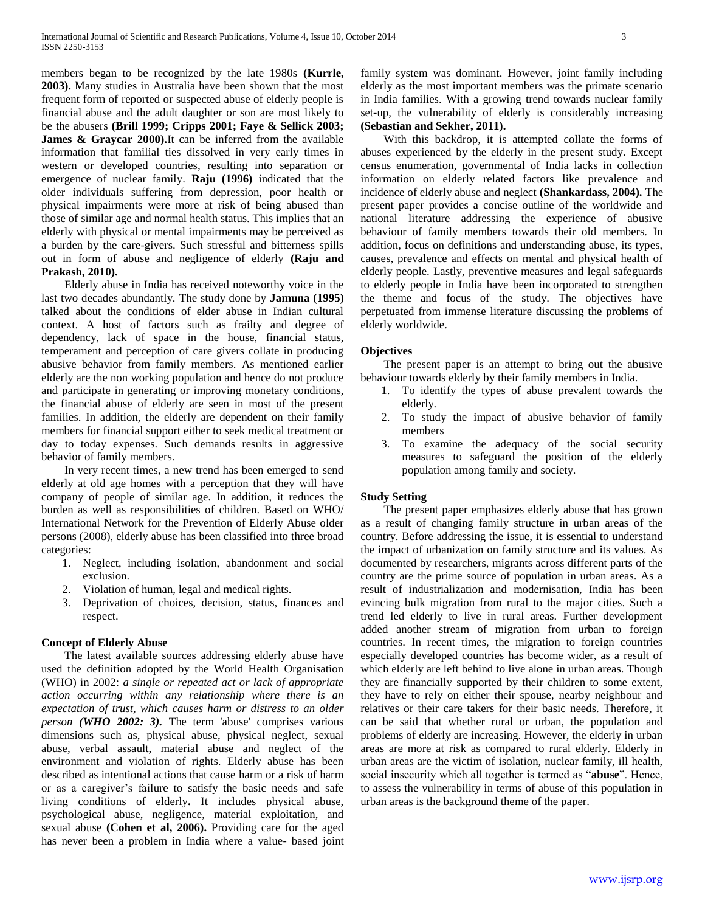members began to be recognized by the late 1980s **(Kurrle, 2003).** Many studies in Australia have been shown that the most frequent form of reported or suspected abuse of elderly people is financial abuse and the adult daughter or son are most likely to be the abusers **(Brill 1999; Cripps 2001; Faye & Sellick 2003;**  James & Graycar 2000).It can be inferred from the available information that familial ties dissolved in very early times in western or developed countries, resulting into separation or emergence of nuclear family. **Raju (1996)** indicated that the older individuals suffering from depression, poor health or physical impairments were more at risk of being abused than those of similar age and normal health status. This implies that an elderly with physical or mental impairments may be perceived as a burden by the care-givers. Such stressful and bitterness spills out in form of abuse and negligence of elderly **(Raju and Prakash, 2010).** 

 Elderly abuse in India has received noteworthy voice in the last two decades abundantly. The study done by **Jamuna (1995)** talked about the conditions of elder abuse in Indian cultural context. A host of factors such as frailty and degree of dependency, lack of space in the house, financial status, temperament and perception of care givers collate in producing abusive behavior from family members. As mentioned earlier elderly are the non working population and hence do not produce and participate in generating or improving monetary conditions, the financial abuse of elderly are seen in most of the present families. In addition, the elderly are dependent on their family members for financial support either to seek medical treatment or day to today expenses. Such demands results in aggressive behavior of family members.

 In very recent times, a new trend has been emerged to send elderly at old age homes with a perception that they will have company of people of similar age. In addition, it reduces the burden as well as responsibilities of children. Based on WHO/ International Network for the Prevention of Elderly Abuse older persons (2008), elderly abuse has been classified into three broad categories:

- 1. Neglect, including isolation, abandonment and social exclusion.
- 2. Violation of human, legal and medical rights.
- 3. Deprivation of choices, decision, status, finances and respect.

## **Concept of Elderly Abuse**

 The latest available sources addressing elderly abuse have used the definition adopted by the World Health Organisation (WHO) in 2002: *a single or repeated act or lack of appropriate action occurring within any relationship where there is an expectation of trust, which causes harm or distress to an older person (WHO 2002: 3).* The term 'abuse' comprises various dimensions such as, physical abuse, physical neglect, sexual abuse, verbal assault, material abuse and neglect of the environment and violation of rights. Elderly abuse has been described as intentional actions that cause harm or a risk of harm or as a caregiver's failure to satisfy the basic needs and safe living conditions of elderly**.** It includes physical abuse, psychological abuse, negligence, material exploitation, and sexual abuse **(Cohen et al, 2006).** Providing care for the aged has never been a problem in India where a value- based joint family system was dominant. However, joint family including elderly as the most important members was the primate scenario in India families. With a growing trend towards nuclear family set-up, the vulnerability of elderly is considerably increasing **(Sebastian and Sekher, 2011).**

 With this backdrop, it is attempted collate the forms of abuses experienced by the elderly in the present study. Except census enumeration, governmental of India lacks in collection information on elderly related factors like prevalence and incidence of elderly abuse and neglect **(Shankardass, 2004).** The present paper provides a concise outline of the worldwide and national literature addressing the experience of abusive behaviour of family members towards their old members. In addition, focus on definitions and understanding abuse, its types, causes, prevalence and effects on mental and physical health of elderly people. Lastly, preventive measures and legal safeguards to elderly people in India have been incorporated to strengthen the theme and focus of the study. The objectives have perpetuated from immense literature discussing the problems of elderly worldwide.

## **Objectives**

 The present paper is an attempt to bring out the abusive behaviour towards elderly by their family members in India.

- 1. To identify the types of abuse prevalent towards the elderly.
- 2. To study the impact of abusive behavior of family members
- 3. To examine the adequacy of the social security measures to safeguard the position of the elderly population among family and society.

## **Study Setting**

 The present paper emphasizes elderly abuse that has grown as a result of changing family structure in urban areas of the country. Before addressing the issue, it is essential to understand the impact of urbanization on family structure and its values. As documented by researchers, migrants across different parts of the country are the prime source of population in urban areas. As a result of industrialization and modernisation, India has been evincing bulk migration from rural to the major cities. Such a trend led elderly to live in rural areas. Further development added another stream of migration from urban to foreign countries. In recent times, the migration to foreign countries especially developed countries has become wider, as a result of which elderly are left behind to live alone in urban areas. Though they are financially supported by their children to some extent, they have to rely on either their spouse, nearby neighbour and relatives or their care takers for their basic needs. Therefore, it can be said that whether rural or urban, the population and problems of elderly are increasing. However, the elderly in urban areas are more at risk as compared to rural elderly. Elderly in urban areas are the victim of isolation, nuclear family, ill health, social insecurity which all together is termed as "**abuse**". Hence, to assess the vulnerability in terms of abuse of this population in urban areas is the background theme of the paper.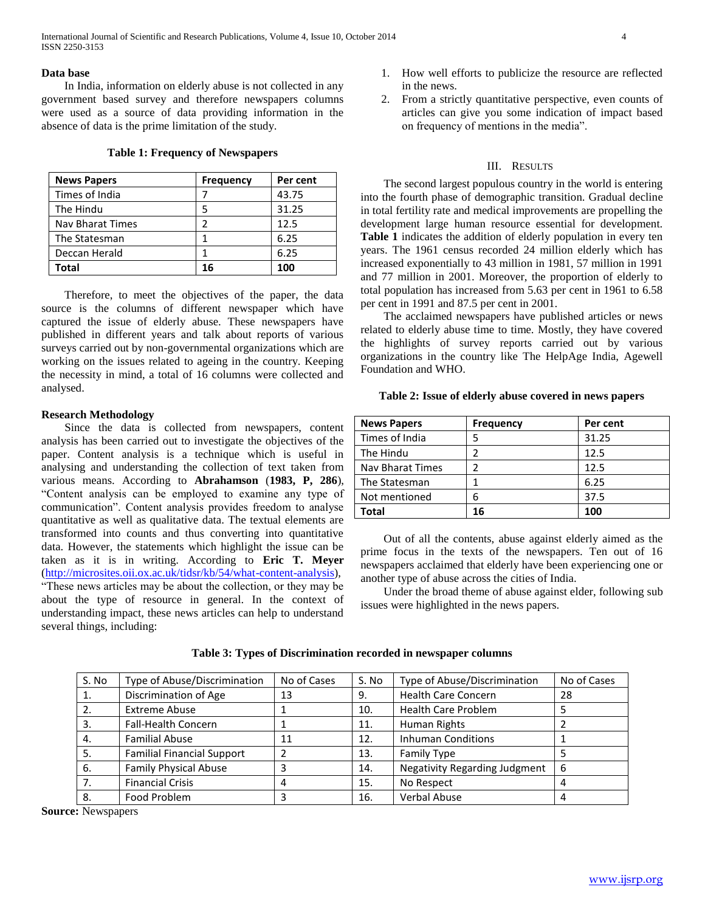International Journal of Scientific and Research Publications, Volume 4, Issue 10, October 2014 4 ISSN 2250-3153

#### **Data base**

 In India, information on elderly abuse is not collected in any government based survey and therefore newspapers columns were used as a source of data providing information in the absence of data is the prime limitation of the study.

**Table 1: Frequency of Newspapers**

| <b>News Papers</b> | <b>Frequency</b> | Per cent |
|--------------------|------------------|----------|
| Times of India     |                  | 43.75    |
| The Hindu          | 5                | 31.25    |
| Nav Bharat Times   |                  | 12.5     |
| The Statesman      |                  | 6.25     |
| Deccan Herald      |                  | 6.25     |
| Total              | 16               | 100      |

 Therefore, to meet the objectives of the paper, the data source is the columns of different newspaper which have captured the issue of elderly abuse. These newspapers have published in different years and talk about reports of various surveys carried out by non-governmental organizations which are working on the issues related to ageing in the country. Keeping the necessity in mind, a total of 16 columns were collected and analysed.

#### **Research Methodology**

 Since the data is collected from newspapers, content analysis has been carried out to investigate the objectives of the paper. Content analysis is a technique which is useful in analysing and understanding the collection of text taken from various means. According to **Abrahamson** (**1983, P, 286**), ―Content analysis can be employed to examine any type of communication". Content analysis provides freedom to analyse quantitative as well as qualitative data. The textual elements are transformed into counts and thus converting into quantitative data. However, the statements which highlight the issue can be taken as it is in writing. According to **Eric T. Meyer** [\(http://microsites.oii.ox.ac.uk/tidsr/kb/54/what-content-analysis\)](http://microsites.oii.ox.ac.uk/tidsr/kb/54/what-content-analysis), ―These news articles may be about the collection, or they may be about the type of resource in general. In the context of understanding impact, these news articles can help to understand several things, including:

- 1. How well efforts to publicize the resource are reflected in the news.
- 2. From a strictly quantitative perspective, even counts of articles can give you some indication of impact based on frequency of mentions in the media".

#### III. RESULTS

 The second largest populous country in the world is entering into the fourth phase of demographic transition. Gradual decline in total fertility rate and medical improvements are propelling the development large human resource essential for development. **Table 1** indicates the addition of elderly population in every ten years. The 1961 census recorded 24 million elderly which has increased exponentially to 43 million in 1981, 57 million in 1991 and 77 million in 2001. Moreover, the proportion of elderly to total population has increased from 5.63 per cent in 1961 to 6.58 per cent in 1991 and 87.5 per cent in 2001.

 The acclaimed newspapers have published articles or news related to elderly abuse time to time. Mostly, they have covered the highlights of survey reports carried out by various organizations in the country like The HelpAge India, Agewell Foundation and WHO.

| Table 2: Issue of elderly abuse covered in news papers |  |  |  |  |  |  |  |  |
|--------------------------------------------------------|--|--|--|--|--|--|--|--|
|--------------------------------------------------------|--|--|--|--|--|--|--|--|

| <b>News Papers</b>      | <b>Frequency</b> | Per cent |
|-------------------------|------------------|----------|
| Times of India          |                  | 31.25    |
| The Hindu               |                  | 12.5     |
| <b>Nav Bharat Times</b> |                  | 12.5     |
| The Statesman           |                  | 6.25     |
| Not mentioned           | 6                | 37.5     |
| Total                   | 16               | 100      |

 Out of all the contents, abuse against elderly aimed as the prime focus in the texts of the newspapers. Ten out of 16 newspapers acclaimed that elderly have been experiencing one or another type of abuse across the cities of India.

 Under the broad theme of abuse against elder, following sub issues were highlighted in the news papers.

| S. No | Type of Abuse/Discrimination      | No of Cases | S. No | Type of Abuse/Discrimination         | No of Cases |
|-------|-----------------------------------|-------------|-------|--------------------------------------|-------------|
|       | Discrimination of Age             | 13          | 9.    | <b>Health Care Concern</b>           | 28          |
|       | <b>Extreme Abuse</b>              |             | 10.   | <b>Health Care Problem</b>           |             |
| 3.    | <b>Fall-Health Concern</b>        |             | 11.   | Human Rights                         |             |
| 4.    | <b>Familial Abuse</b>             | 11          | 12.   | <b>Inhuman Conditions</b>            |             |
| 5.    | <b>Familial Financial Support</b> |             | 13.   | <b>Family Type</b>                   |             |
| 6.    | <b>Family Physical Abuse</b>      |             | 14.   | <b>Negativity Regarding Judgment</b> | 6           |
|       | <b>Financial Crisis</b>           | 4           | 15.   | No Respect                           | 4           |
| 8.    | Food Problem                      |             | 16.   | <b>Verbal Abuse</b>                  |             |

## **Table 3: Types of Discrimination recorded in newspaper columns**

**Source:** Newspapers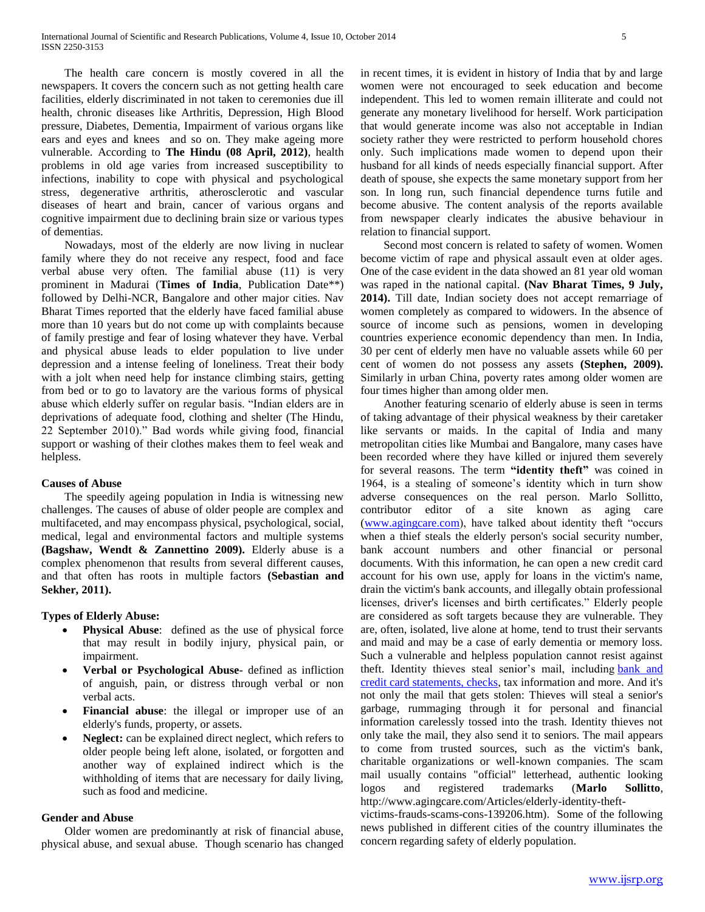The health care concern is mostly covered in all the newspapers. It covers the concern such as not getting health care facilities, elderly discriminated in not taken to ceremonies due ill health, chronic diseases like Arthritis, Depression, High Blood pressure, Diabetes, Dementia, Impairment of various organs like ears and eyes and knees and so on. They make ageing more vulnerable. According to **The Hindu (08 April, 2012)**, health problems in old age varies from increased susceptibility to infections, inability to cope with physical and psychological stress, degenerative arthritis, atherosclerotic and vascular diseases of heart and brain, cancer of various organs and cognitive impairment due to declining brain size or various types of dementias.

 Nowadays, most of the elderly are now living in nuclear family where they do not receive any respect, food and face verbal abuse very often. The familial abuse (11) is very prominent in Madurai (**Times of India**, Publication Date\*\*) followed by Delhi-NCR, Bangalore and other major cities. Nav Bharat Times reported that the elderly have faced familial abuse more than 10 years but do not come up with complaints because of family prestige and fear of losing whatever they have. Verbal and physical abuse leads to elder population to live under depression and a intense feeling of loneliness. Treat their body with a jolt when need help for instance climbing stairs, getting from bed or to go to lavatory are the various forms of physical abuse which elderly suffer on regular basis. "Indian elders are in deprivations of adequate food, clothing and shelter (The Hindu, 22 September 2010)." Bad words while giving food, financial support or washing of their clothes makes them to feel weak and helpless.

## **Causes of Abuse**

 The speedily ageing population in India is witnessing new challenges. The causes of abuse of older people are complex and multifaceted, and may encompass physical, psychological, social, medical, legal and environmental factors and multiple systems **(Bagshaw, Wendt & Zannettino 2009).** Elderly abuse is a complex phenomenon that results from several different causes, and that often has roots in multiple factors **(Sebastian and Sekher, 2011).**

#### **Types of Elderly Abuse:**

- **Physical Abuse**: defined as the use of physical force that may result in bodily injury, physical pain, or impairment.
- **Verbal or Psychological Abuse-** defined as infliction of anguish, pain, or distress through verbal or non verbal acts.
- **Financial abuse**: the illegal or improper use of an elderly's funds, property, or assets.
- **Neglect:** can be explained direct neglect, which refers to older people being left alone, isolated, or forgotten and another way of explained indirect which is the withholding of items that are necessary for daily living, such as food and medicine.

#### **Gender and Abuse**

 Older women are predominantly at risk of financial abuse, physical abuse, and sexual abuse. Though scenario has changed in recent times, it is evident in history of India that by and large women were not encouraged to seek education and become independent. This led to women remain illiterate and could not generate any monetary livelihood for herself. Work participation that would generate income was also not acceptable in Indian society rather they were restricted to perform household chores only. Such implications made women to depend upon their husband for all kinds of needs especially financial support. After death of spouse, she expects the same monetary support from her son. In long run, such financial dependence turns futile and become abusive. The content analysis of the reports available from newspaper clearly indicates the abusive behaviour in relation to financial support.

 Second most concern is related to safety of women. Women become victim of rape and physical assault even at older ages. One of the case evident in the data showed an 81 year old woman was raped in the national capital. **(Nav Bharat Times, 9 July, 2014).** Till date, Indian society does not accept remarriage of women completely as compared to widowers. In the absence of source of income such as pensions, women in developing countries experience economic dependency than men. In India, 30 per cent of elderly men have no valuable assets while 60 per cent of women do not possess any assets **(Stephen, 2009).**  Similarly in urban China, poverty rates among older women are four times higher than among older men.

 Another featuring scenario of elderly abuse is seen in terms of taking advantage of their physical weakness by their caretaker like servants or maids. In the capital of India and many metropolitan cities like Mumbai and Bangalore, many cases have been recorded where they have killed or injured them severely for several reasons. The term **"identity theft"** was coined in 1964, is a stealing of someone's identity which in turn show adverse consequences on the real person. Marlo Sollitto, contributor editor of a site known as aging care [\(www.agingcare.com\)](http://www.agingcare.com/), have talked about identity theft "occurs when a thief steals the elderly person's social security number, bank account numbers and other financial or personal documents. With this information, he can open a new credit card account for his own use, apply for loans in the victim's name, drain the victim's bank accounts, and illegally obtain professional licenses, driver's licenses and birth certificates." Elderly people are considered as soft targets because they are vulnerable. They are, often, isolated, live alone at home, tend to trust their servants and maid and may be a case of early dementia or memory loss. Such a vulnerable and helpless population cannot resist against theft. Identity thieves steal senior's mail, including [bank and](http://www.agingcare.com/Articles/taking-over-parents-finances-what-you-need-to-know-143865.htm)  [credit card statements, checks,](http://www.agingcare.com/Articles/taking-over-parents-finances-what-you-need-to-know-143865.htm) tax information and more. And it's not only the mail that gets stolen: Thieves will steal a senior's garbage, rummaging through it for personal and financial information carelessly tossed into the trash. Identity thieves not only take the mail, they also send it to seniors. The mail appears to come from trusted sources, such as the victim's bank, charitable organizations or well-known companies. The scam mail usually contains "official" letterhead, authentic looking logos and registered trademarks (**Marlo Sollitto**, http://www.agingcare.com/Articles/elderly-identity-theft-

victims-frauds-scams-cons-139206.htm). Some of the following news published in different cities of the country illuminates the concern regarding safety of elderly population.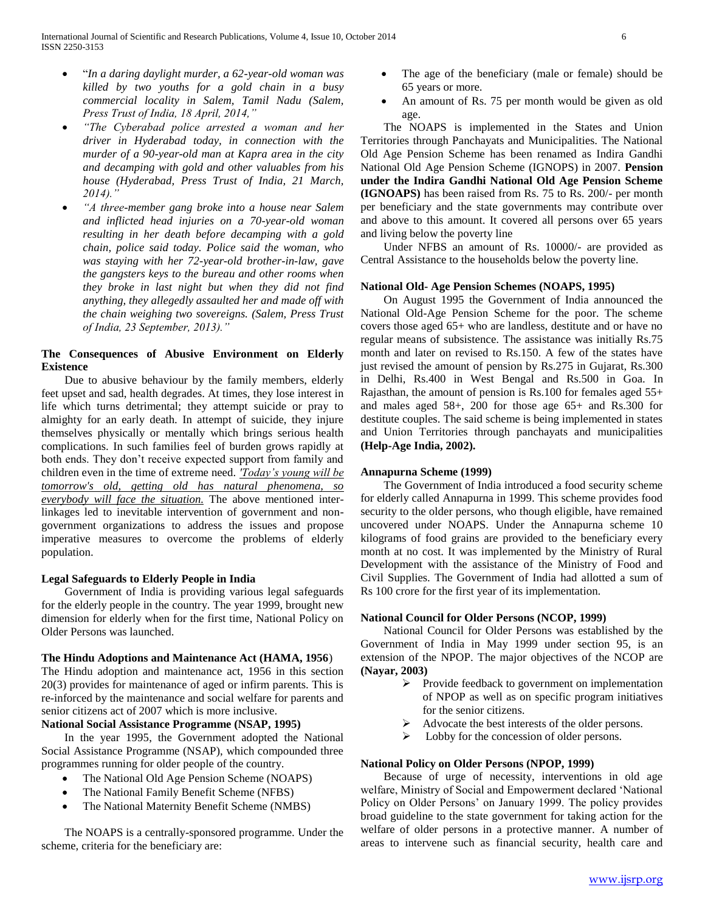- ―*In a daring daylight murder, a 62-year-old woman was killed by two youths for a gold chain in a busy commercial locality in Salem, Tamil Nadu (Salem, Press Trust of India, 18 April, 2014,"*
- *"The Cyberabad police arrested a woman and her driver in Hyderabad today, in connection with the murder of a 90-year-old man at Kapra area in the city and decamping with gold and other valuables from his house (Hyderabad, Press Trust of India, 21 March, 2014)."*
- *"A three-member gang broke into a house near Salem and inflicted head injuries on a 70-year-old woman resulting in her death before decamping with a gold chain, police said today. Police said the woman, who was staying with her 72-year-old brother-in-law, gave the gangsters keys to the bureau and other rooms when they broke in last night but when they did not find anything, they allegedly assaulted her and made off with the chain weighing two sovereigns. (Salem, Press Trust of India, 23 September, 2013)."*

## **The Consequences of Abusive Environment on Elderly Existence**

 Due to abusive behaviour by the family members, elderly feet upset and sad, health degrades. At times, they lose interest in life which turns detrimental; they attempt suicide or pray to almighty for an early death. In attempt of suicide, they injure themselves physically or mentally which brings serious health complications. In such families feel of burden grows rapidly at both ends. They don't receive expected support from family and children even in the time of extreme need. *'Today's young will be tomorrow's old, getting old has natural phenomena, so everybody will face the situation.* The above mentioned interlinkages led to inevitable intervention of government and nongovernment organizations to address the issues and propose imperative measures to overcome the problems of elderly population.

## **Legal Safeguards to Elderly People in India**

 Government of India is providing various legal safeguards for the elderly people in the country. The year 1999, brought new dimension for elderly when for the first time, National Policy on Older Persons was launched.

## **The Hindu Adoptions and Maintenance Act (HAMA, 1956**)

The Hindu adoption and maintenance act, 1956 in this section 20(3) provides for maintenance of aged or infirm parents. This is re-inforced by the maintenance and social welfare for parents and senior citizens act of 2007 which is more inclusive.

## **National Social Assistance Programme (NSAP, 1995)**

 In the year 1995, the Government adopted the National Social Assistance Programme (NSAP), which compounded three programmes running for older people of the country.

- The National Old Age Pension Scheme (NOAPS)
- The National Family Benefit Scheme (NFBS)
- The National Maternity Benefit Scheme (NMBS)

# The NOAPS is a centrally-sponsored programme. Under the scheme, criteria for the beneficiary are:

- The age of the beneficiary (male or female) should be 65 years or more.
- An amount of Rs. 75 per month would be given as old age.

 The NOAPS is implemented in the States and Union Territories through Panchayats and Municipalities. The National Old Age Pension Scheme has been renamed as Indira Gandhi National Old Age Pension Scheme (IGNOPS) in 2007. **Pension under the Indira Gandhi National Old Age Pension Scheme (IGNOAPS)** has been raised from Rs. 75 to Rs. 200/- per month per beneficiary and the state governments may contribute over and above to this amount. It covered all persons over 65 years and living below the poverty line

 Under NFBS an amount of Rs. 10000/- are provided as Central Assistance to the households below the poverty line.

## **National Old- Age Pension Schemes (NOAPS, 1995)**

 On August 1995 the Government of India announced the National Old-Age Pension Scheme for the poor. The scheme covers those aged 65+ who are landless, destitute and or have no regular means of subsistence. The assistance was initially Rs.75 month and later on revised to Rs.150. A few of the states have just revised the amount of pension by Rs.275 in Gujarat, Rs.300 in Delhi, Rs.400 in West Bengal and Rs.500 in Goa. In Rajasthan, the amount of pension is Rs.100 for females aged 55+ and males aged 58+, 200 for those age 65+ and Rs.300 for destitute couples. The said scheme is being implemented in states and Union Territories through panchayats and municipalities **(Help-Age India, 2002).**

#### **Annapurna Scheme (1999)**

 The Government of India introduced a food security scheme for elderly called Annapurna in 1999. This scheme provides food security to the older persons, who though eligible, have remained uncovered under NOAPS. Under the Annapurna scheme 10 kilograms of food grains are provided to the beneficiary every month at no cost. It was implemented by the Ministry of Rural Development with the assistance of the Ministry of Food and Civil Supplies. The Government of India had allotted a sum of Rs 100 crore for the first year of its implementation.

## **National Council for Older Persons (NCOP, 1999)**

 National Council for Older Persons was established by the Government of India in May 1999 under section 95, is an extension of the NPOP. The major objectives of the NCOP are **(Nayar, 2003)**

- $\triangleright$  Provide feedback to government on implementation of NPOP as well as on specific program initiatives for the senior citizens.
- Advocate the best interests of the older persons.
- $\triangleright$  Lobby for the concession of older persons.

#### **National Policy on Older Persons (NPOP, 1999)**

 Because of urge of necessity, interventions in old age welfare, Ministry of Social and Empowerment declared 'National Policy on Older Persons' on January 1999. The policy provides broad guideline to the state government for taking action for the welfare of older persons in a protective manner. A number of areas to intervene such as financial security, health care and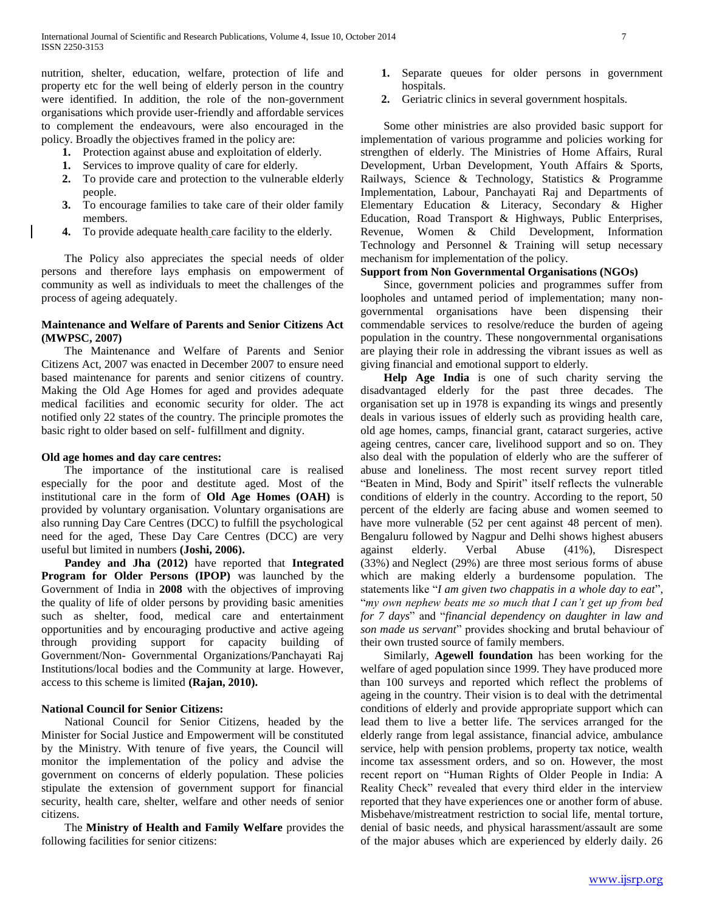nutrition, shelter, education, welfare, protection of life and property etc for the well being of elderly person in the country were identified. In addition, the role of the non-government organisations which provide user-friendly and affordable services to complement the endeavours, were also encouraged in the policy. Broadly the objectives framed in the policy are:

- **1.** Protection against abuse and exploitation of elderly.
- **1.** Services to improve quality of care for elderly.
- **2.** To provide care and protection to the vulnerable elderly people.
- **3.** To encourage families to take care of their older family members.
- **4.** To provide adequate health care facility to the elderly.

 The Policy also appreciates the special needs of older persons and therefore lays emphasis on empowerment of community as well as individuals to meet the challenges of the process of ageing adequately.

## **Maintenance and Welfare of Parents and Senior Citizens Act (MWPSC, 2007)**

 The Maintenance and Welfare of Parents and Senior Citizens Act, 2007 was enacted in December 2007 to ensure need based maintenance for parents and senior citizens of country. Making the Old Age Homes for aged and provides adequate medical facilities and economic security for older. The act notified only 22 states of the country. The principle promotes the basic right to older based on self- fulfillment and dignity.

## **Old age homes and day care centres:**

 The importance of the institutional care is realised especially for the poor and destitute aged. Most of the institutional care in the form of **Old Age Homes (OAH)** is provided by voluntary organisation. Voluntary organisations are also running Day Care Centres (DCC) to fulfill the psychological need for the aged, These Day Care Centres (DCC) are very useful but limited in numbers **(Joshi, 2006).**

 **Pandey and Jha (2012)** have reported that **Integrated Program for Older Persons (IPOP)** was launched by the Government of India in **2008** with the objectives of improving the quality of life of older persons by providing basic amenities such as shelter, food, medical care and entertainment opportunities and by encouraging productive and active ageing through providing support for capacity building of Government/Non- Governmental Organizations/Panchayati Raj Institutions/local bodies and the Community at large. However, access to this scheme is limited **(Rajan, 2010).**

## **National Council for Senior Citizens:**

 National Council for Senior Citizens, headed by the Minister for Social Justice and Empowerment will be constituted by the Ministry. With tenure of five years, the Council will monitor the implementation of the policy and advise the government on concerns of elderly population. These policies stipulate the extension of government support for financial security, health care, shelter, welfare and other needs of senior citizens.

 The **Ministry of Health and Family Welfare** provides the following facilities for senior citizens:

- **1.** Separate queues for older persons in government hospitals.
- **2.** Geriatric clinics in several government hospitals.

 Some other ministries are also provided basic support for implementation of various programme and policies working for strengthen of elderly. The Ministries of Home Affairs, Rural Development, Urban Development, Youth Affairs & Sports, Railways, Science & Technology, Statistics & Programme Implementation, Labour, Panchayati Raj and Departments of Elementary Education & Literacy, Secondary & Higher Education, Road Transport & Highways, Public Enterprises, Revenue, Women & Child Development, Information Technology and Personnel & Training will setup necessary mechanism for implementation of the policy.

# **Support from Non Governmental Organisations (NGOs)**

 Since, government policies and programmes suffer from loopholes and untamed period of implementation; many nongovernmental organisations have been dispensing their commendable services to resolve/reduce the burden of ageing population in the country. These nongovernmental organisations are playing their role in addressing the vibrant issues as well as giving financial and emotional support to elderly.

 **Help Age India** is one of such charity serving the disadvantaged elderly for the past three decades. The organisation set up in 1978 is expanding its wings and presently deals in various issues of elderly such as providing health care, old age homes, camps, financial grant, cataract surgeries, active ageing centres, cancer care, livelihood support and so on. They also deal with the population of elderly who are the sufferer of abuse and loneliness. The most recent survey report titled "Beaten in Mind, Body and Spirit" itself reflects the vulnerable conditions of elderly in the country. According to the report, 50 percent of the elderly are facing abuse and women seemed to have more vulnerable (52 per cent against 48 percent of men). Bengaluru followed by Nagpur and Delhi shows highest abusers against elderly. Verbal Abuse (41%), Disrespect (33%) and Neglect (29%) are three most serious forms of abuse which are making elderly a burdensome population. The statements like "I am given two chappatis in a whole day to eat", ―*my own nephew beats me so much that I can't get up from bed for 7 days*‖ and ―*financial dependency on daughter in law and son made us servant*" provides shocking and brutal behaviour of their own trusted source of family members.

 Similarly, **Agewell foundation** has been working for the welfare of aged population since 1999. They have produced more than 100 surveys and reported which reflect the problems of ageing in the country. Their vision is to deal with the detrimental conditions of elderly and provide appropriate support which can lead them to live a better life. The services arranged for the elderly range from legal assistance, financial advice, ambulance service, help with pension problems, property tax notice, wealth income tax assessment orders, and so on. However, the most recent report on "Human Rights of Older People in India: A Reality Check" revealed that every third elder in the interview reported that they have experiences one or another form of abuse. Misbehave/mistreatment restriction to social life, mental torture, denial of basic needs, and physical harassment/assault are some of the major abuses which are experienced by elderly daily. 26